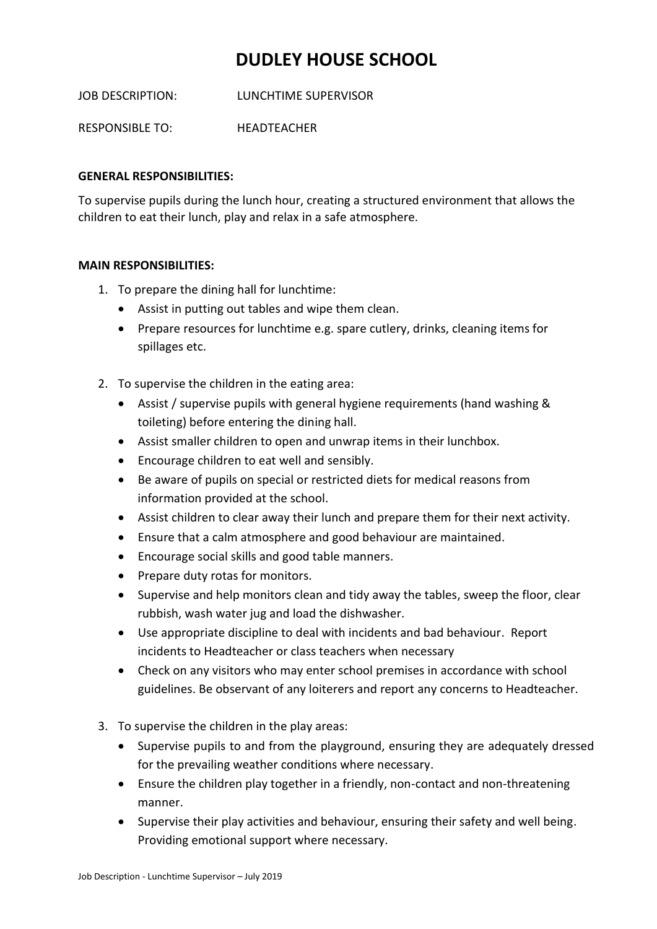## **DUDLEY HOUSE SCHOOL**

JOB DESCRIPTION: LUNCHTIME SUPERVISOR

RESPONSIBLE TO: HEADTEACHER

## **GENERAL RESPONSIBILITIES:**

To supervise pupils during the lunch hour, creating a structured environment that allows the children to eat their lunch, play and relax in a safe atmosphere.

## **MAIN RESPONSIBILITIES:**

- 1. To prepare the dining hall for lunchtime:
	- Assist in putting out tables and wipe them clean.
	- Prepare resources for lunchtime e.g. spare cutlery, drinks, cleaning items for spillages etc.
- 2. To supervise the children in the eating area:
	- Assist / supervise pupils with general hygiene requirements (hand washing & toileting) before entering the dining hall.
	- Assist smaller children to open and unwrap items in their lunchbox.
	- Encourage children to eat well and sensibly.
	- Be aware of pupils on special or restricted diets for medical reasons from information provided at the school.
	- Assist children to clear away their lunch and prepare them for their next activity.
	- Ensure that a calm atmosphere and good behaviour are maintained.
	- Encourage social skills and good table manners.
	- Prepare duty rotas for monitors.
	- Supervise and help monitors clean and tidy away the tables, sweep the floor, clear rubbish, wash water jug and load the dishwasher.
	- Use appropriate discipline to deal with incidents and bad behaviour. Report incidents to Headteacher or class teachers when necessary
	- Check on any visitors who may enter school premises in accordance with school guidelines. Be observant of any loiterers and report any concerns to Headteacher.
- 3. To supervise the children in the play areas:
	- Supervise pupils to and from the playground, ensuring they are adequately dressed for the prevailing weather conditions where necessary.
	- Ensure the children play together in a friendly, non-contact and non-threatening manner.
	- Supervise their play activities and behaviour, ensuring their safety and well being. Providing emotional support where necessary.